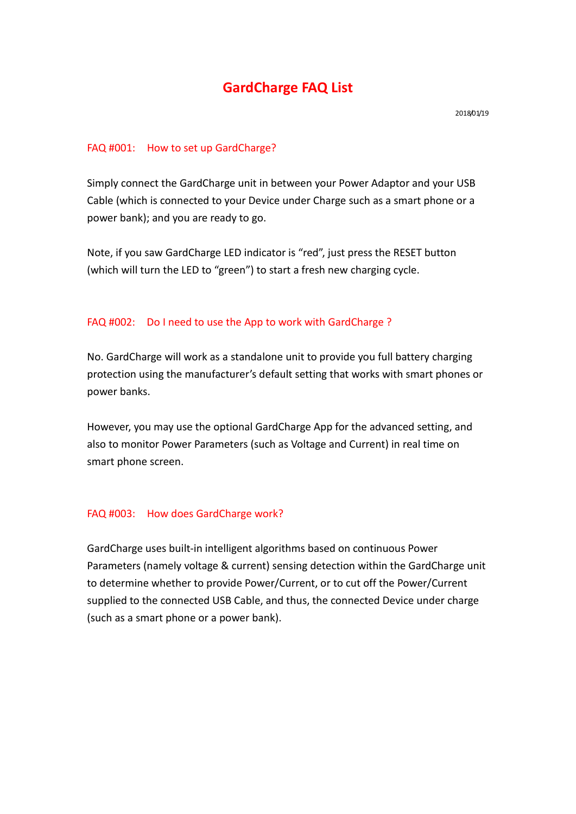# **GardCharge FAQ List**

#### FAQ #001: How to set up GardCharge?

Simply connect the GardCharge unit in between your Power Adaptor and your USB Cable (which is connected to your Device under Charge such as a smart phone or a power bank); and you are ready to go.

Note, if you saw GardCharge LED indicator is "red", just press the RESET button (which will turn the LED to "green") to start a fresh new charging cycle.

#### FAQ #002: Do I need to use the App to work with GardCharge ?

No. GardCharge will work as a standalone unit to provide you full battery charging protection using the manufacturer's default setting that works with smart phones or power banks.

However, you may use the optional GardCharge App for the advanced setting, and also to monitor Power Parameters (such as Voltage and Current) in real time on smart phone screen.

#### FAQ #003: How does GardCharge work?

GardCharge uses built-in intelligent algorithms based on continuous Power Parameters (namely voltage & current) sensing detection within the GardCharge unit to determine whether to provide Power/Current, or to cut off the Power/Current supplied to the connected USB Cable, and thus, the connected Device under charge (such as a smart phone or a power bank).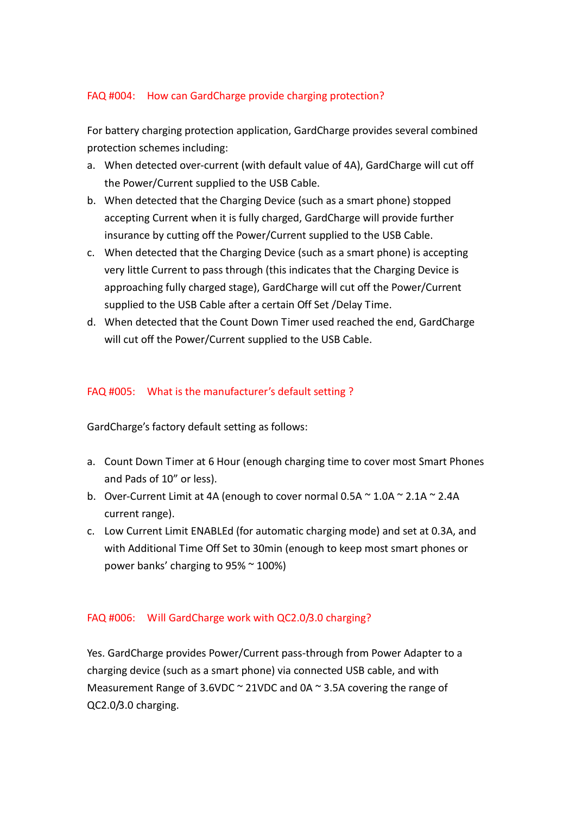## FAQ #004: How can GardCharge provide charging protection?

For battery charging protection application, GardCharge provides several combined protection schemes including:

- a. When detected over-current (with default value of 4A), GardCharge will cut off the Power/Current supplied to the USB Cable.
- b. When detected that the Charging Device (such as a smart phone) stopped accepting Current when it is fully charged, GardCharge will provide further insurance by cutting off the Power/Current supplied to the USB Cable.
- c. When detected that the Charging Device (such as a smart phone) is accepting very little Current to pass through (this indicates that the Charging Device is approaching fully charged stage), GardCharge will cut off the Power/Current supplied to the USB Cable after a certain Off Set /Delay Time.
- d. When detected that the Count Down Timer used reached the end, GardCharge will cut off the Power/Current supplied to the USB Cable.

## FAQ #005: What is the manufacturer's default setting ?

GardCharge's factory default setting as follows:

- a. Count Down Timer at 6 Hour (enough charging time to cover most Smart Phones and Pads of 10" or less).
- b. Over-Current Limit at 4A (enough to cover normal 0.5A  $\sim$  1.0A  $\sim$  2.1A  $\sim$  2.4A current range).
- c. Low Current Limit ENABLEd (for automatic charging mode) and set at 0.3A, and with Additional Time Off Set to 30min (enough to keep most smart phones or power banks' charging to 95% ~ 100%)

## FAQ #006: Will GardCharge work with QC2.0/3.0 charging?

Yes. GardCharge provides Power/Current pass-through from Power Adapter to a charging device (such as a smart phone) via connected USB cable, and with Measurement Range of 3.6VDC  $\sim$  21VDC and 0A  $\sim$  3.5A covering the range of QC2.0/3.0 charging.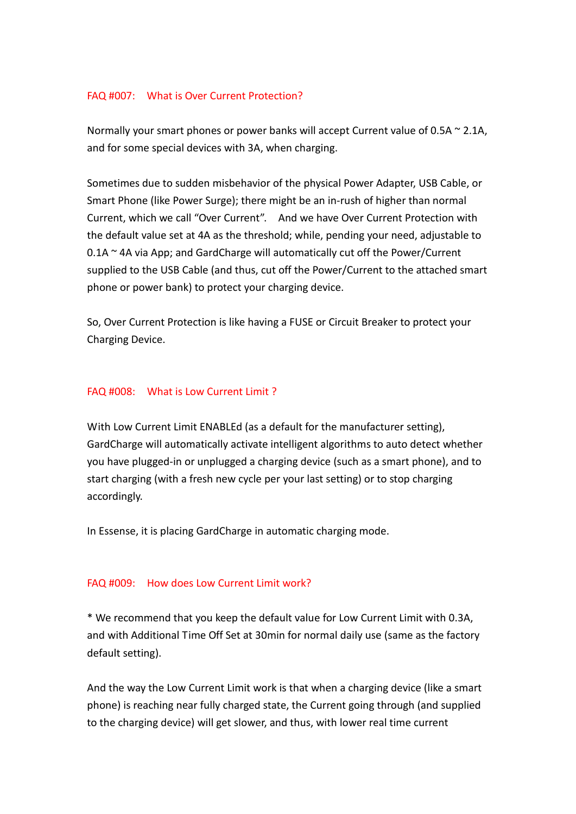## FAQ #007: What is Over Current Protection?

Normally your smart phones or power banks will accept Current value of 0.5A  $\sim$  2.1A, and for some special devices with 3A, when charging.

Sometimes due to sudden misbehavior of the physical Power Adapter, USB Cable, or Smart Phone (like Power Surge); there might be an in-rush of higher than normal Current, which we call "Over Current". And we have Over Current Protection with the default value set at 4A as the threshold; while, pending your need, adjustable to 0.1A ~ 4A via App; and GardCharge will automatically cut off the Power/Current supplied to the USB Cable (and thus, cut off the Power/Current to the attached smart phone or power bank) to protect your charging device.

So, Over Current Protection is like having a FUSE or Circuit Breaker to protect your Charging Device.

#### FAQ #008: What is Low Current Limit ?

With Low Current Limit ENABLEd (as a default for the manufacturer setting), GardCharge will automatically activate intelligent algorithms to auto detect whether you have plugged-in or unplugged a charging device (such as a smart phone), and to start charging (with a fresh new cycle per your last setting) or to stop charging accordingly.

In Essense, it is placing GardCharge in automatic charging mode.

#### FAQ #009: How does Low Current Limit work?

\* We recommend that you keep the default value for Low Current Limit with 0.3A, and with Additional Time Off Set at 30min for normal daily use (same as the factory default setting).

And the way the Low Current Limit work is that when a charging device (like a smart phone) is reaching near fully charged state, the Current going through (and supplied to the charging device) will get slower, and thus, with lower real time current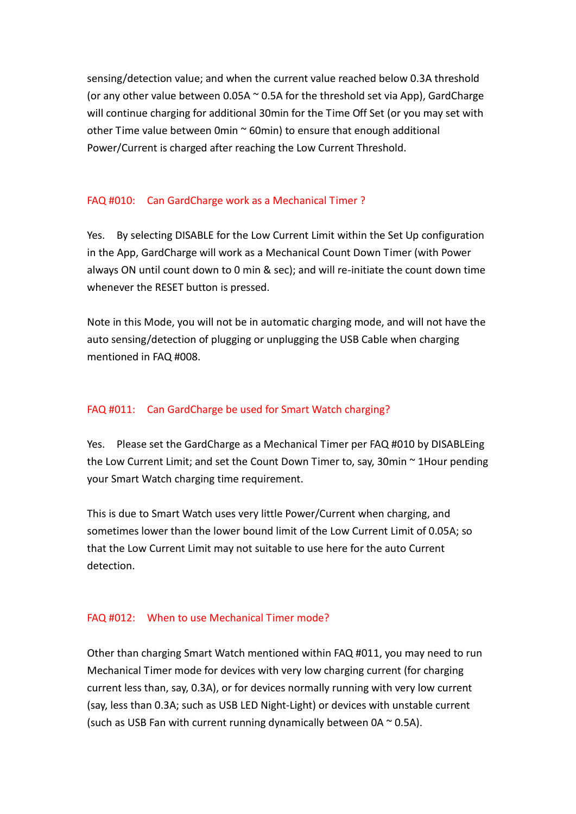sensing/detection value; and when the current value reached below 0.3A threshold (or any other value between 0.05A  $\sim$  0.5A for the threshold set via App), GardCharge will continue charging for additional 30min for the Time Off Set (or you may set with other Time value between 0min  $\sim$  60min) to ensure that enough additional Power/Current is charged after reaching the Low Current Threshold.

## FAQ #010: Can GardCharge work as a Mechanical Timer ?

Yes. By selecting DISABLE for the Low Current Limit within the Set Up configuration in the App, GardCharge will work as a Mechanical Count Down Timer (with Power always ON until count down to 0 min & sec); and will re-initiate the count down time whenever the RESET button is pressed.

Note in this Mode, you will not be in automatic charging mode, and will not have the auto sensing/detection of plugging or unplugging the USB Cable when charging mentioned in FAQ #008.

### FAQ #011: Can GardCharge be used for Smart Watch charging?

Yes. Please set the GardCharge as a Mechanical Timer per FAQ #010 by DISABLEing the Low Current Limit; and set the Count Down Timer to, say, 30min ~ 1Hour pending your Smart Watch charging time requirement.

This is due to Smart Watch uses very little Power/Current when charging, and sometimes lower than the lower bound limit of the Low Current Limit of 0.05A; so that the Low Current Limit may not suitable to use here for the auto Current detection.

#### FAQ #012: When to use Mechanical Timer mode?

Other than charging Smart Watch mentioned within FAQ #011, you may need to run Mechanical Timer mode for devices with very low charging current (for charging current less than, say, 0.3A), or for devices normally running with very low current (say, less than 0.3A; such as USB LED Night-Light) or devices with unstable current (such as USB Fan with current running dynamically between  $0A \sim 0.5A$ ).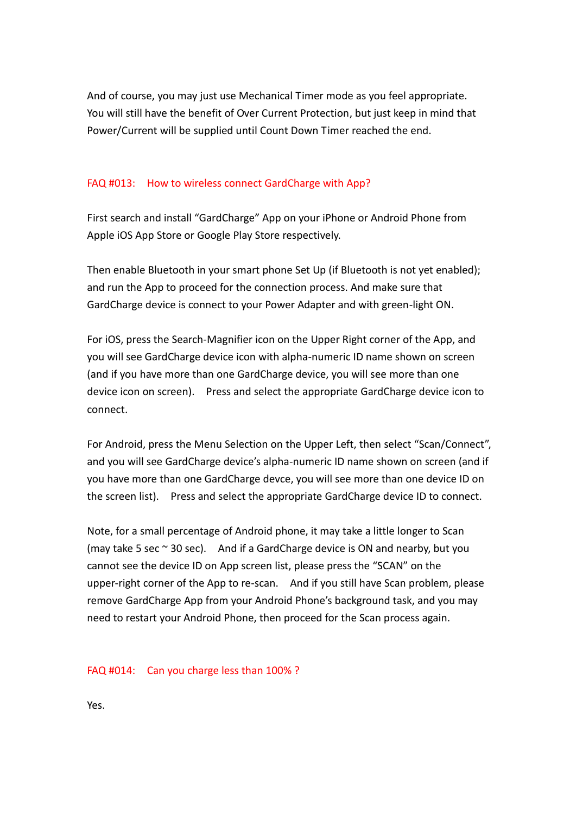And of course, you may just use Mechanical Timer mode as you feel appropriate. You will still have the benefit of Over Current Protection, but just keep in mind that Power/Current will be supplied until Count Down Timer reached the end.

#### FAQ #013: How to wireless connect GardCharge with App?

First search and install "GardCharge" App on your iPhone or Android Phone from Apple iOS App Store or Google Play Store respectively.

Then enable Bluetooth in your smart phone Set Up (if Bluetooth is not yet enabled); and run the App to proceed for the connection process. And make sure that GardCharge device is connect to your Power Adapter and with green-light ON.

For iOS, press the Search-Magnifier icon on the Upper Right corner of the App, and you will see GardCharge device icon with alpha-numeric ID name shown on screen (and if you have more than one GardCharge device, you will see more than one device icon on screen). Press and select the appropriate GardCharge device icon to connect.

For Android, press the Menu Selection on the Upper Left, then select "Scan/Connect", and you will see GardCharge device's alpha-numeric ID name shown on screen (and if you have more than one GardCharge devce, you will see more than one device ID on the screen list). Press and select the appropriate GardCharge device ID to connect.

Note, for a small percentage of Android phone, it may take a little longer to Scan (may take 5 sec  $\sim$  30 sec). And if a GardCharge device is ON and nearby, but you cannot see the device ID on App screen list, please press the "SCAN" on the upper-right corner of the App to re-scan. And if you still have Scan problem, please remove GardCharge App from your Android Phone's background task, and you may need to restart your Android Phone, then proceed for the Scan process again.

FAQ #014: Can you charge less than 100% ?

Yes.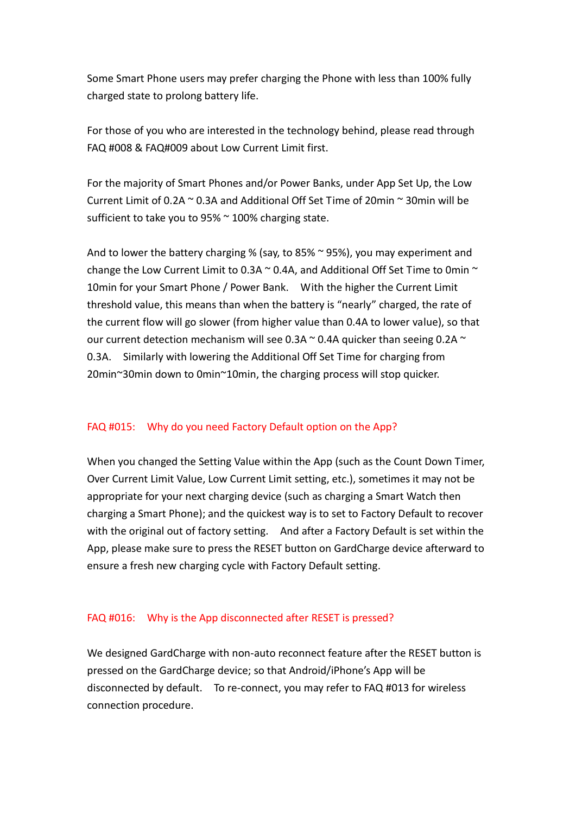Some Smart Phone users may prefer charging the Phone with less than 100% fully charged state to prolong battery life.

For those of you who are interested in the technology behind, please read through FAQ #008 & FAQ#009 about Low Current Limit first.

For the majority of Smart Phones and/or Power Banks, under App Set Up, the Low Current Limit of 0.2A  $\sim$  0.3A and Additional Off Set Time of 20min  $\sim$  30min will be sufficient to take you to 95% ~ 100% charging state.

And to lower the battery charging % (say, to 85% ~ 95%), you may experiment and change the Low Current Limit to 0.3A  $\sim$  0.4A, and Additional Off Set Time to 0min  $\sim$ 10min for your Smart Phone / Power Bank. With the higher the Current Limit threshold value, this means than when the battery is "nearly" charged, the rate of the current flow will go slower (from higher value than 0.4A to lower value), so that our current detection mechanism will see 0.3A  $\sim$  0.4A quicker than seeing 0.2A  $\sim$ 0.3A. Similarly with lowering the Additional Off Set Time for charging from 20min~30min down to 0min~10min, the charging process will stop quicker.

## FAQ #015: Why do you need Factory Default option on the App?

When you changed the Setting Value within the App (such as the Count Down Timer, Over Current Limit Value, Low Current Limit setting, etc.), sometimes it may not be appropriate for your next charging device (such as charging a Smart Watch then charging a Smart Phone); and the quickest way is to set to Factory Default to recover with the original out of factory setting. And after a Factory Default is set within the App, please make sure to press the RESET button on GardCharge device afterward to ensure a fresh new charging cycle with Factory Default setting.

## FAQ #016: Why is the App disconnected after RESET is pressed?

We designed GardCharge with non-auto reconnect feature after the RESET button is pressed on the GardCharge device; so that Android/iPhone's App will be disconnected by default. To re-connect, you may refer to FAQ #013 for wireless connection procedure.